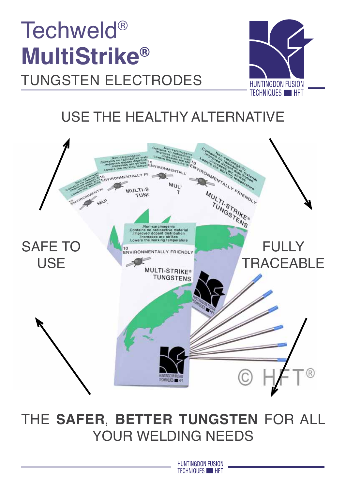# Techweld® **MultiStrike®**  tungsten electrodes



### USE THE HEALTHY ALTERNATIVE



# THE **SAFER**, **BETTER TUNGSTEN** FOR ALL YOUR WELDING NEEDS